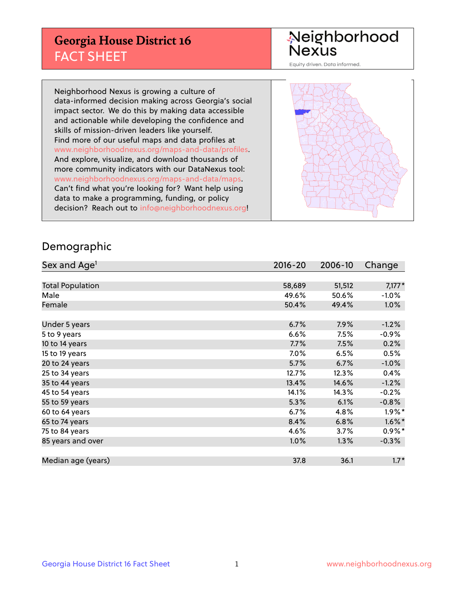## **Georgia House District 16** FACT SHEET

# Neighborhood<br>Nexus

Equity driven. Data informed.

Neighborhood Nexus is growing a culture of data-informed decision making across Georgia's social impact sector. We do this by making data accessible and actionable while developing the confidence and skills of mission-driven leaders like yourself. Find more of our useful maps and data profiles at www.neighborhoodnexus.org/maps-and-data/profiles. And explore, visualize, and download thousands of more community indicators with our DataNexus tool: www.neighborhoodnexus.org/maps-and-data/maps. Can't find what you're looking for? Want help using data to make a programming, funding, or policy decision? Reach out to [info@neighborhoodnexus.org!](mailto:info@neighborhoodnexus.org)



### Demographic

| Sex and Age <sup>1</sup> | $2016 - 20$ | 2006-10 | Change               |
|--------------------------|-------------|---------|----------------------|
|                          |             |         |                      |
| <b>Total Population</b>  | 58,689      | 51,512  | $7,177*$             |
| Male                     | 49.6%       | 50.6%   | $-1.0\%$             |
| Female                   | 50.4%       | 49.4%   | 1.0%                 |
|                          |             |         |                      |
| Under 5 years            | 6.7%        | 7.9%    | $-1.2%$              |
| 5 to 9 years             | 6.6%        | 7.5%    | $-0.9%$              |
| 10 to 14 years           | 7.7%        | 7.5%    | 0.2%                 |
| 15 to 19 years           | 7.0%        | 6.5%    | 0.5%                 |
| 20 to 24 years           | 5.7%        | 6.7%    | $-1.0%$              |
| 25 to 34 years           | 12.7%       | 12.3%   | 0.4%                 |
| 35 to 44 years           | 13.4%       | 14.6%   | $-1.2%$              |
| 45 to 54 years           | 14.1%       | 14.3%   | $-0.2%$              |
| 55 to 59 years           | 5.3%        | 6.1%    | $-0.8%$              |
| 60 to 64 years           | 6.7%        | 4.8%    | $1.9\%$ <sup>*</sup> |
| 65 to 74 years           | 8.4%        | 6.8%    | $1.6\%$ *            |
| 75 to 84 years           | 4.6%        | 3.7%    | $0.9\%$ *            |
| 85 years and over        | 1.0%        | 1.3%    | $-0.3%$              |
|                          |             |         |                      |
| Median age (years)       | 37.8        | 36.1    | $1.7*$               |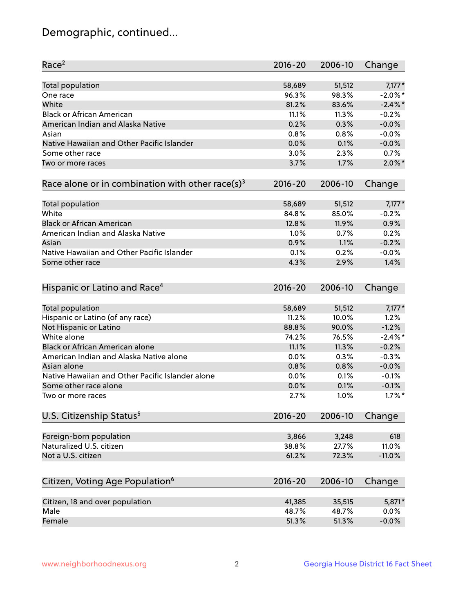## Demographic, continued...

| Race <sup>2</sup>                                            | $2016 - 20$    | 2006-10        | Change     |
|--------------------------------------------------------------|----------------|----------------|------------|
| <b>Total population</b>                                      | 58,689         | 51,512         | $7,177*$   |
| One race                                                     | 96.3%          | 98.3%          | $-2.0\%$ * |
| White                                                        | 81.2%          | 83.6%          | $-2.4\%$   |
| <b>Black or African American</b>                             | 11.1%          | 11.3%          | $-0.2%$    |
| American Indian and Alaska Native                            | 0.2%           | 0.3%           | $-0.0%$    |
| Asian                                                        | 0.8%           | 0.8%           | $-0.0%$    |
| Native Hawaiian and Other Pacific Islander                   | 0.0%           | 0.1%           | $-0.0%$    |
| Some other race                                              | 3.0%           | 2.3%           | 0.7%       |
| Two or more races                                            | 3.7%           | 1.7%           | $2.0\%$ *  |
| Race alone or in combination with other race(s) <sup>3</sup> | $2016 - 20$    | 2006-10        | Change     |
| Total population                                             | 58,689         | 51,512         | $7,177*$   |
| White                                                        | 84.8%          | 85.0%          | $-0.2%$    |
| <b>Black or African American</b>                             | 12.8%          | 11.9%          | 0.9%       |
| American Indian and Alaska Native                            | 1.0%           | 0.7%           | 0.2%       |
| Asian                                                        | 0.9%           | 1.1%           | $-0.2%$    |
| Native Hawaiian and Other Pacific Islander                   | 0.1%           | 0.2%           | $-0.0%$    |
| Some other race                                              | 4.3%           | 2.9%           | 1.4%       |
| Hispanic or Latino and Race <sup>4</sup>                     | $2016 - 20$    | 2006-10        | Change     |
| <b>Total population</b>                                      | 58,689         | 51,512         | $7,177*$   |
| Hispanic or Latino (of any race)                             | 11.2%          | 10.0%          | 1.2%       |
| Not Hispanic or Latino                                       | 88.8%          | 90.0%          | $-1.2%$    |
| White alone                                                  | 74.2%          | 76.5%          | $-2.4\%$ * |
| Black or African American alone                              | 11.1%          | 11.3%          | $-0.2%$    |
| American Indian and Alaska Native alone                      | 0.0%           | 0.3%           | $-0.3%$    |
| Asian alone                                                  | 0.8%           | 0.8%           | $-0.0%$    |
| Native Hawaiian and Other Pacific Islander alone             | 0.0%           | 0.1%           | $-0.1%$    |
| Some other race alone                                        | 0.0%           | 0.1%           | $-0.1%$    |
| Two or more races                                            | 2.7%           | 1.0%           | $1.7\%$ *  |
| U.S. Citizenship Status <sup>5</sup>                         | $2016 - 20$    | 2006-10        | Change     |
|                                                              |                |                | 618        |
| Foreign-born population<br>Naturalized U.S. citizen          | 3,866<br>38.8% | 3,248<br>27.7% | 11.0%      |
| Not a U.S. citizen                                           | 61.2%          | 72.3%          | $-11.0%$   |
|                                                              |                |                |            |
| Citizen, Voting Age Population <sup>6</sup>                  | 2016-20        | 2006-10        | Change     |
| Citizen, 18 and over population                              | 41,385         | 35,515         | 5,871*     |
| Male                                                         | 48.7%          | 48.7%          | 0.0%       |
| Female                                                       | 51.3%          | 51.3%          | $-0.0%$    |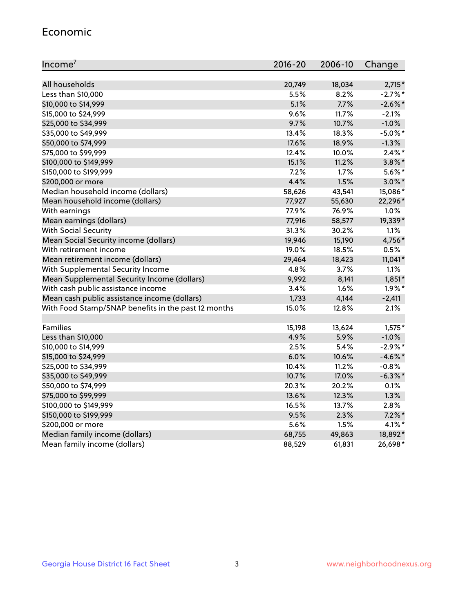#### Economic

| Income <sup>7</sup>                                 | $2016 - 20$ | 2006-10 | Change     |
|-----------------------------------------------------|-------------|---------|------------|
|                                                     |             |         |            |
| All households                                      | 20,749      | 18,034  | $2,715*$   |
| Less than \$10,000                                  | 5.5%        | 8.2%    | $-2.7\%$ * |
| \$10,000 to \$14,999                                | 5.1%        | 7.7%    | $-2.6\%$ * |
| \$15,000 to \$24,999                                | 9.6%        | 11.7%   | $-2.1%$    |
| \$25,000 to \$34,999                                | 9.7%        | 10.7%   | $-1.0%$    |
| \$35,000 to \$49,999                                | 13.4%       | 18.3%   | $-5.0\%$ * |
| \$50,000 to \$74,999                                | 17.6%       | 18.9%   | $-1.3%$    |
| \$75,000 to \$99,999                                | 12.4%       | 10.0%   | $2.4\%$ *  |
| \$100,000 to \$149,999                              | 15.1%       | 11.2%   | $3.8\%$ *  |
| \$150,000 to \$199,999                              | 7.2%        | 1.7%    | $5.6\%$ *  |
| \$200,000 or more                                   | 4.4%        | 1.5%    | $3.0\%$ *  |
| Median household income (dollars)                   | 58,626      | 43,541  | 15,086*    |
| Mean household income (dollars)                     | 77,927      | 55,630  | 22,296*    |
| With earnings                                       | 77.9%       | 76.9%   | 1.0%       |
| Mean earnings (dollars)                             | 77,916      | 58,577  | 19,339*    |
| <b>With Social Security</b>                         | 31.3%       | 30.2%   | 1.1%       |
| Mean Social Security income (dollars)               | 19,946      | 15,190  | 4,756*     |
| With retirement income                              | 19.0%       | 18.5%   | 0.5%       |
| Mean retirement income (dollars)                    | 29,464      | 18,423  | $11,041*$  |
| With Supplemental Security Income                   | 4.8%        | 3.7%    | 1.1%       |
| Mean Supplemental Security Income (dollars)         | 9,992       | 8,141   | $1,851*$   |
| With cash public assistance income                  | 3.4%        | 1.6%    | $1.9\%$ *  |
| Mean cash public assistance income (dollars)        | 1,733       | 4,144   | $-2,411$   |
| With Food Stamp/SNAP benefits in the past 12 months | 15.0%       | 12.8%   | 2.1%       |
|                                                     |             |         |            |
| Families                                            | 15,198      | 13,624  | $1,575*$   |
| Less than \$10,000                                  | 4.9%        | 5.9%    | $-1.0%$    |
| \$10,000 to \$14,999                                | 2.5%        | 5.4%    | $-2.9%$ *  |
| \$15,000 to \$24,999                                | 6.0%        | 10.6%   | $-4.6\%$ * |
| \$25,000 to \$34,999                                | 10.4%       | 11.2%   | $-0.8%$    |
| \$35,000 to \$49,999                                | 10.7%       | 17.0%   | $-6.3\%$ * |
| \$50,000 to \$74,999                                | 20.3%       | 20.2%   | 0.1%       |
| \$75,000 to \$99,999                                | 13.6%       | 12.3%   | 1.3%       |
| \$100,000 to \$149,999                              | 16.5%       | 13.7%   | 2.8%       |
| \$150,000 to \$199,999                              | 9.5%        | 2.3%    | $7.2\%$ *  |
| \$200,000 or more                                   | 5.6%        | 1.5%    | $4.1\%$ *  |
| Median family income (dollars)                      | 68,755      | 49,863  | 18,892*    |
| Mean family income (dollars)                        | 88,529      | 61,831  | 26,698*    |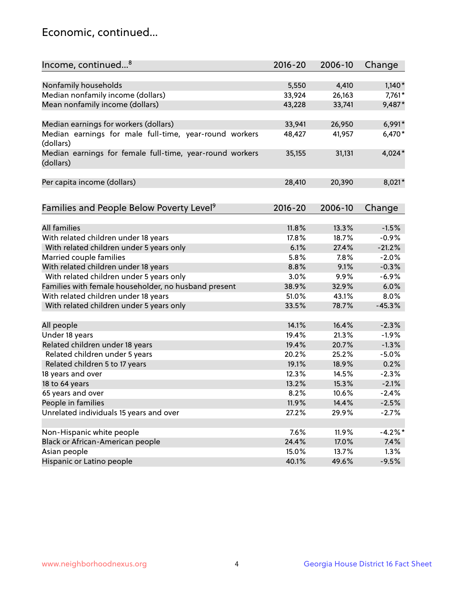## Economic, continued...

| Income, continued <sup>8</sup>                           | $2016 - 20$ | 2006-10 | Change    |
|----------------------------------------------------------|-------------|---------|-----------|
|                                                          |             |         |           |
| Nonfamily households                                     | 5,550       | 4,410   | $1,140*$  |
| Median nonfamily income (dollars)                        | 33,924      | 26,163  | 7,761*    |
| Mean nonfamily income (dollars)                          | 43,228      | 33,741  | 9,487*    |
|                                                          |             |         |           |
| Median earnings for workers (dollars)                    | 33,941      | 26,950  | 6,991*    |
| Median earnings for male full-time, year-round workers   | 48,427      | 41,957  | 6,470*    |
| (dollars)                                                |             |         |           |
| Median earnings for female full-time, year-round workers | 35,155      | 31,131  | 4,024*    |
| (dollars)                                                |             |         |           |
|                                                          |             |         |           |
| Per capita income (dollars)                              | 28,410      | 20,390  | 8,021*    |
|                                                          |             |         |           |
| Families and People Below Poverty Level <sup>9</sup>     | $2016 - 20$ | 2006-10 | Change    |
|                                                          |             |         |           |
| <b>All families</b>                                      | 11.8%       | 13.3%   | $-1.5%$   |
| With related children under 18 years                     | 17.8%       | 18.7%   | $-0.9%$   |
| With related children under 5 years only                 | 6.1%        | 27.4%   | $-21.2%$  |
| Married couple families                                  | 5.8%        | 7.8%    | $-2.0%$   |
| With related children under 18 years                     | 8.8%        | 9.1%    | $-0.3%$   |
| With related children under 5 years only                 | 3.0%        | 9.9%    | $-6.9%$   |
| Families with female householder, no husband present     | 38.9%       | 32.9%   | 6.0%      |
| With related children under 18 years                     | 51.0%       | 43.1%   | 8.0%      |
| With related children under 5 years only                 | 33.5%       | 78.7%   | $-45.3%$  |
|                                                          |             |         |           |
| All people                                               | 14.1%       | 16.4%   | $-2.3%$   |
| Under 18 years                                           | 19.4%       | 21.3%   | $-1.9%$   |
| Related children under 18 years                          | 19.4%       | 20.7%   | $-1.3%$   |
| Related children under 5 years                           | 20.2%       | 25.2%   | $-5.0%$   |
| Related children 5 to 17 years                           | 19.1%       | 18.9%   | 0.2%      |
| 18 years and over                                        | 12.3%       | 14.5%   | $-2.3%$   |
| 18 to 64 years                                           | 13.2%       | 15.3%   | $-2.1%$   |
| 65 years and over                                        | 8.2%        | 10.6%   | $-2.4%$   |
| People in families                                       | 11.9%       | 14.4%   | $-2.5%$   |
| Unrelated individuals 15 years and over                  | 27.2%       | 29.9%   | $-2.7%$   |
|                                                          |             |         |           |
| Non-Hispanic white people                                | 7.6%        | 11.9%   | $-4.2%$ * |
| Black or African-American people                         | 24.4%       | 17.0%   | 7.4%      |
| Asian people                                             | 15.0%       | 13.7%   | 1.3%      |
| Hispanic or Latino people                                | 40.1%       | 49.6%   | $-9.5%$   |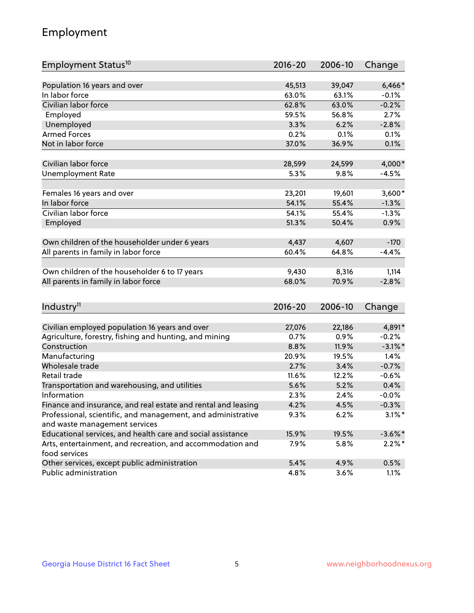## Employment

| Employment Status <sup>10</sup>                                             | $2016 - 20$ | 2006-10 | Change     |
|-----------------------------------------------------------------------------|-------------|---------|------------|
|                                                                             |             |         |            |
| Population 16 years and over                                                | 45,513      | 39,047  | $6,466*$   |
| In labor force                                                              | 63.0%       | 63.1%   | $-0.1%$    |
| Civilian labor force                                                        | 62.8%       | 63.0%   | $-0.2%$    |
| Employed                                                                    | 59.5%       | 56.8%   | 2.7%       |
| Unemployed                                                                  | 3.3%        | 6.2%    | $-2.8%$    |
| <b>Armed Forces</b>                                                         | 0.2%        | 0.1%    | 0.1%       |
| Not in labor force                                                          | 37.0%       | 36.9%   | 0.1%       |
| Civilian labor force                                                        | 28,599      | 24,599  | 4,000*     |
| <b>Unemployment Rate</b>                                                    | 5.3%        | 9.8%    | $-4.5%$    |
|                                                                             |             |         |            |
| Females 16 years and over                                                   | 23,201      | 19,601  | $3,600*$   |
| In labor force                                                              | 54.1%       | 55.4%   | $-1.3%$    |
| Civilian labor force                                                        | 54.1%       | 55.4%   | $-1.3%$    |
| Employed                                                                    | 51.3%       | 50.4%   | 0.9%       |
|                                                                             |             |         |            |
| Own children of the householder under 6 years                               | 4,437       | 4,607   | $-170$     |
| All parents in family in labor force                                        | 60.4%       | 64.8%   | $-4.4%$    |
|                                                                             |             |         |            |
| Own children of the householder 6 to 17 years                               | 9,430       | 8,316   | 1,114      |
| All parents in family in labor force                                        | 68.0%       | 70.9%   | $-2.8%$    |
|                                                                             |             |         |            |
| Industry <sup>11</sup>                                                      | $2016 - 20$ | 2006-10 | Change     |
|                                                                             |             |         |            |
| Civilian employed population 16 years and over                              | 27,076      | 22,186  | 4,891*     |
| Agriculture, forestry, fishing and hunting, and mining                      | 0.7%        | 0.9%    | $-0.2%$    |
| Construction                                                                | 8.8%        | 11.9%   | $-3.1\%$ * |
| Manufacturing                                                               | 20.9%       | 19.5%   | 1.4%       |
| Wholesale trade                                                             | 2.7%        | 3.4%    | $-0.7%$    |
| Retail trade                                                                | 11.6%       | 12.2%   | $-0.6%$    |
| Transportation and warehousing, and utilities                               | 5.6%        | 5.2%    | 0.4%       |
| Information                                                                 | 2.3%        | 2.4%    | $-0.0%$    |
| Finance and insurance, and real estate and rental and leasing               | 4.2%        | 4.5%    | $-0.3%$    |
| Professional, scientific, and management, and administrative                | 9.3%        | 6.2%    | $3.1\%$ *  |
| and waste management services                                               |             |         |            |
| Educational services, and health care and social assistance                 | 15.9%       | 19.5%   | $-3.6\%$ * |
| Arts, entertainment, and recreation, and accommodation and<br>food services | 7.9%        | 5.8%    | $2.2\%$ *  |
| Other services, except public administration                                | 5.4%        | 4.9%    | 0.5%       |
| Public administration                                                       | 4.8%        | 3.6%    | 1.1%       |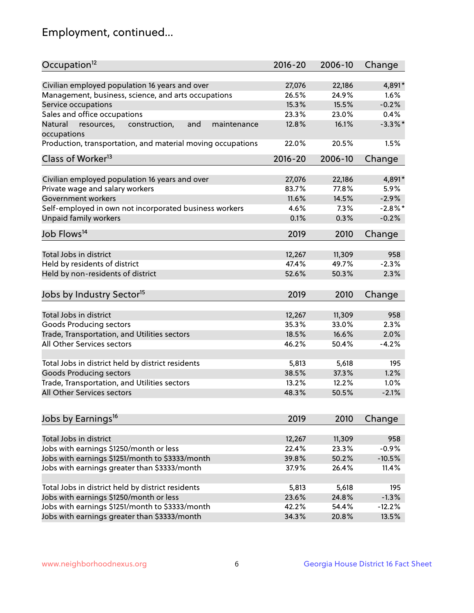## Employment, continued...

| Occupation <sup>12</sup>                                     | $2016 - 20$ | 2006-10 | Change     |
|--------------------------------------------------------------|-------------|---------|------------|
| Civilian employed population 16 years and over               | 27,076      | 22,186  | 4,891*     |
| Management, business, science, and arts occupations          | 26.5%       | 24.9%   | 1.6%       |
| Service occupations                                          | 15.3%       | 15.5%   | $-0.2%$    |
| Sales and office occupations                                 | 23.3%       | 23.0%   | 0.4%       |
| and<br>Natural<br>resources,<br>construction,<br>maintenance | 12.8%       | 16.1%   | $-3.3\%$ * |
| occupations                                                  |             |         |            |
| Production, transportation, and material moving occupations  | 22.0%       | 20.5%   | 1.5%       |
| Class of Worker <sup>13</sup>                                | $2016 - 20$ | 2006-10 | Change     |
|                                                              |             |         |            |
| Civilian employed population 16 years and over               | 27,076      | 22,186  | 4,891*     |
| Private wage and salary workers                              | 83.7%       | 77.8%   | 5.9%       |
| Government workers                                           | 11.6%       | 14.5%   | $-2.9%$    |
| Self-employed in own not incorporated business workers       | 4.6%        | 7.3%    | $-2.8%$ *  |
| <b>Unpaid family workers</b>                                 | 0.1%        | 0.3%    | $-0.2%$    |
| Job Flows <sup>14</sup>                                      | 2019        | 2010    | Change     |
|                                                              |             |         |            |
| Total Jobs in district                                       | 12,267      | 11,309  | 958        |
| Held by residents of district                                | 47.4%       | 49.7%   | $-2.3%$    |
| Held by non-residents of district                            | 52.6%       | 50.3%   | 2.3%       |
| Jobs by Industry Sector <sup>15</sup>                        | 2019        | 2010    | Change     |
|                                                              |             |         |            |
| Total Jobs in district                                       | 12,267      | 11,309  | 958        |
| Goods Producing sectors                                      | 35.3%       | 33.0%   | 2.3%       |
| Trade, Transportation, and Utilities sectors                 | 18.5%       | 16.6%   | 2.0%       |
| All Other Services sectors                                   | 46.2%       | 50.4%   | $-4.2%$    |
| Total Jobs in district held by district residents            | 5,813       | 5,618   | 195        |
|                                                              | 38.5%       | 37.3%   | 1.2%       |
| <b>Goods Producing sectors</b>                               |             |         |            |
| Trade, Transportation, and Utilities sectors                 | 13.2%       | 12.2%   | 1.0%       |
| All Other Services sectors                                   | 48.3%       | 50.5%   | $-2.1%$    |
| Jobs by Earnings <sup>16</sup>                               | 2019        | 2010    | Change     |
|                                                              |             |         |            |
| Total Jobs in district                                       | 12,267      | 11,309  | 958        |
| Jobs with earnings \$1250/month or less                      | 22.4%       | 23.3%   | $-0.9%$    |
| Jobs with earnings \$1251/month to \$3333/month              | 39.8%       | 50.2%   | $-10.5%$   |
| Jobs with earnings greater than \$3333/month                 | 37.9%       | 26.4%   | 11.4%      |
| Total Jobs in district held by district residents            | 5,813       | 5,618   | 195        |
| Jobs with earnings \$1250/month or less                      | 23.6%       | 24.8%   | $-1.3%$    |
| Jobs with earnings \$1251/month to \$3333/month              | 42.2%       | 54.4%   | $-12.2%$   |
| Jobs with earnings greater than \$3333/month                 | 34.3%       | 20.8%   | 13.5%      |
|                                                              |             |         |            |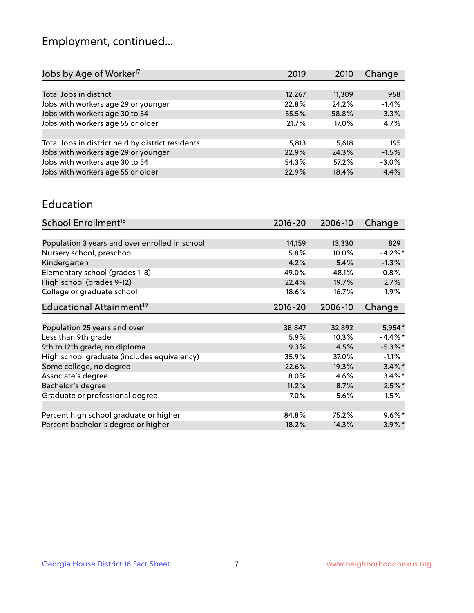## Employment, continued...

| Jobs by Age of Worker <sup>17</sup>               | 2019   | 2010   | Change  |
|---------------------------------------------------|--------|--------|---------|
|                                                   |        |        |         |
| Total Jobs in district                            | 12,267 | 11,309 | 958     |
| Jobs with workers age 29 or younger               | 22.8%  | 24.2%  | $-1.4%$ |
| Jobs with workers age 30 to 54                    | 55.5%  | 58.8%  | $-3.3%$ |
| Jobs with workers age 55 or older                 | 21.7%  | 17.0%  | 4.7%    |
|                                                   |        |        |         |
| Total Jobs in district held by district residents | 5,813  | 5,618  | 195     |
| Jobs with workers age 29 or younger               | 22.9%  | 24.3%  | $-1.5%$ |
| Jobs with workers age 30 to 54                    | 54.3%  | 57.2%  | $-3.0%$ |
| Jobs with workers age 55 or older                 | 22.9%  | 18.4%  | 4.4%    |

#### Education

| School Enrollment <sup>18</sup>                | $2016 - 20$ | 2006-10 | Change     |
|------------------------------------------------|-------------|---------|------------|
|                                                |             |         |            |
| Population 3 years and over enrolled in school | 14,159      | 13,330  | 829        |
| Nursery school, preschool                      | 5.8%        | 10.0%   | $-4.2\%$ * |
| Kindergarten                                   | 4.2%        | 5.4%    | $-1.3%$    |
| Elementary school (grades 1-8)                 | 49.0%       | 48.1%   | 0.8%       |
| High school (grades 9-12)                      | 22.4%       | 19.7%   | 2.7%       |
| College or graduate school                     | 18.6%       | 16.7%   | $1.9\%$    |
| Educational Attainment <sup>19</sup>           | $2016 - 20$ | 2006-10 | Change     |
|                                                |             |         |            |
| Population 25 years and over                   | 38,847      | 32,892  | 5,954*     |
| Less than 9th grade                            | 5.9%        | 10.3%   | $-4.4\%$ * |
| 9th to 12th grade, no diploma                  | 9.3%        | 14.5%   | $-5.3\%$ * |
| High school graduate (includes equivalency)    | 35.9%       | 37.0%   | $-1.1%$    |
| Some college, no degree                        | 22.6%       | 19.3%   | $3.4\%$ *  |
| Associate's degree                             | 8.0%        | 4.6%    | $3.4\%$ *  |
| Bachelor's degree                              | 11.2%       | 8.7%    | $2.5\%$ *  |
| Graduate or professional degree                | $7.0\%$     | 5.6%    | 1.5%       |
|                                                |             |         |            |
| Percent high school graduate or higher         | 84.8%       | 75.2%   | $9.6\%$ *  |
| Percent bachelor's degree or higher            | 18.2%       | 14.3%   | $3.9\%$ *  |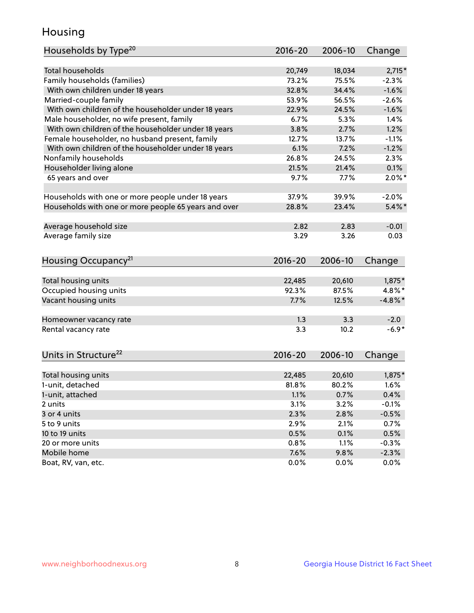## Housing

| Households by Type <sup>20</sup>                     | $2016 - 20$ | 2006-10 | Change     |
|------------------------------------------------------|-------------|---------|------------|
|                                                      |             |         |            |
| <b>Total households</b>                              | 20,749      | 18,034  | $2,715*$   |
| Family households (families)                         | 73.2%       | 75.5%   | $-2.3%$    |
| With own children under 18 years                     | 32.8%       | 34.4%   | $-1.6%$    |
| Married-couple family                                | 53.9%       | 56.5%   | $-2.6%$    |
| With own children of the householder under 18 years  | 22.9%       | 24.5%   | $-1.6%$    |
| Male householder, no wife present, family            | 6.7%        | 5.3%    | 1.4%       |
| With own children of the householder under 18 years  | 3.8%        | 2.7%    | 1.2%       |
| Female householder, no husband present, family       | 12.7%       | 13.7%   | $-1.1%$    |
| With own children of the householder under 18 years  | 6.1%        | 7.2%    | $-1.2%$    |
| Nonfamily households                                 | 26.8%       | 24.5%   | 2.3%       |
| Householder living alone                             | 21.5%       | 21.4%   | 0.1%       |
| 65 years and over                                    | 9.7%        | 7.7%    | $2.0\%$ *  |
|                                                      |             |         |            |
| Households with one or more people under 18 years    | 37.9%       | 39.9%   | $-2.0%$    |
| Households with one or more people 65 years and over | 28.8%       | 23.4%   | $5.4\%$ *  |
|                                                      |             |         |            |
| Average household size                               | 2.82        | 2.83    | $-0.01$    |
| Average family size                                  | 3.29        | 3.26    | 0.03       |
|                                                      |             |         |            |
| Housing Occupancy <sup>21</sup>                      | $2016 - 20$ | 2006-10 | Change     |
|                                                      |             |         |            |
| Total housing units                                  | 22,485      | 20,610  | $1,875*$   |
| Occupied housing units                               | 92.3%       | 87.5%   | 4.8%*      |
| Vacant housing units                                 | 7.7%        | 12.5%   | $-4.8\%$ * |
|                                                      |             |         |            |
| Homeowner vacancy rate                               | 1.3         | 3.3     | $-2.0$     |
| Rental vacancy rate                                  | 3.3         | 10.2    | $-6.9*$    |
|                                                      |             |         |            |
|                                                      |             |         |            |
| Units in Structure <sup>22</sup>                     | $2016 - 20$ | 2006-10 | Change     |
| Total housing units                                  | 22,485      | 20,610  | $1,875*$   |
| 1-unit, detached                                     | 81.8%       | 80.2%   | 1.6%       |
|                                                      | 1.1%        | 0.7%    | 0.4%       |
| 1-unit, attached<br>2 units                          | 3.1%        | 3.2%    | $-0.1%$    |
| 3 or 4 units                                         | 2.3%        | 2.8%    |            |
|                                                      |             |         | $-0.5%$    |
| 5 to 9 units                                         | 2.9%        | 2.1%    | 0.7%       |
| 10 to 19 units                                       | 0.5%        | 0.1%    | 0.5%       |
| 20 or more units                                     | 0.8%        | 1.1%    | $-0.3%$    |
| Mobile home                                          | 7.6%        | 9.8%    | $-2.3%$    |
| Boat, RV, van, etc.                                  | 0.0%        | 0.0%    | 0.0%       |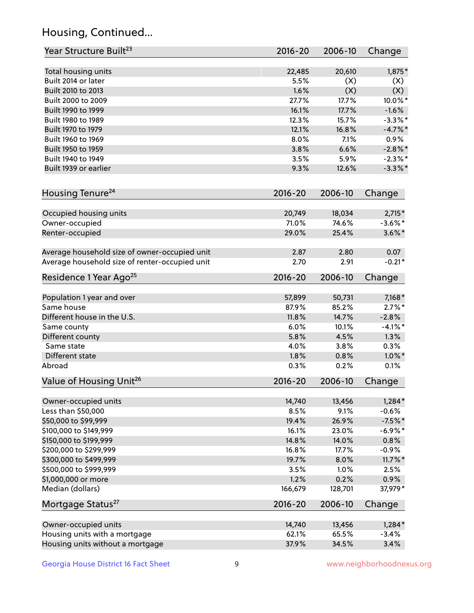## Housing, Continued...

| Year Structure Built <sup>23</sup>             | 2016-20     | 2006-10 | Change     |
|------------------------------------------------|-------------|---------|------------|
| Total housing units                            | 22,485      | 20,610  | 1,875*     |
| Built 2014 or later                            | 5.5%        | (X)     | (X)        |
| Built 2010 to 2013                             | 1.6%        | (X)     | (X)        |
| Built 2000 to 2009                             | 27.7%       | 17.7%   | 10.0%*     |
| Built 1990 to 1999                             | 16.1%       | 17.7%   | $-1.6%$    |
| Built 1980 to 1989                             | 12.3%       | 15.7%   | $-3.3\%$ * |
| Built 1970 to 1979                             | 12.1%       | 16.8%   | $-4.7%$    |
| Built 1960 to 1969                             | 8.0%        | 7.1%    | 0.9%       |
| Built 1950 to 1959                             | 3.8%        | 6.6%    | $-2.8\%$ * |
| Built 1940 to 1949                             | 3.5%        | 5.9%    | $-2.3\%$ * |
| Built 1939 or earlier                          | 9.3%        | 12.6%   | $-3.3\%$ * |
| Housing Tenure <sup>24</sup>                   | $2016 - 20$ | 2006-10 | Change     |
|                                                |             |         |            |
| Occupied housing units                         | 20,749      | 18,034  | $2,715*$   |
| Owner-occupied                                 | 71.0%       | 74.6%   | $-3.6\%$ * |
| Renter-occupied                                | 29.0%       | 25.4%   | $3.6\%$ *  |
| Average household size of owner-occupied unit  | 2.87        | 2.80    | 0.07       |
| Average household size of renter-occupied unit | 2.70        | 2.91    | $-0.21*$   |
| Residence 1 Year Ago <sup>25</sup>             | $2016 - 20$ | 2006-10 | Change     |
| Population 1 year and over                     | 57,899      | 50,731  | $7,168*$   |
| Same house                                     | 87.9%       | 85.2%   | $2.7\%$ *  |
| Different house in the U.S.                    | 11.8%       | 14.7%   | $-2.8%$    |
| Same county                                    | 6.0%        | 10.1%   | $-4.1\%$ * |
| Different county                               | 5.8%        | 4.5%    | 1.3%       |
| Same state                                     | 4.0%        | 3.8%    | 0.3%       |
| Different state                                | 1.8%        | 0.8%    | $1.0\%$ *  |
| Abroad                                         | 0.3%        | 0.2%    | 0.1%       |
| Value of Housing Unit <sup>26</sup>            | $2016 - 20$ | 2006-10 | Change     |
|                                                |             |         |            |
| Owner-occupied units                           | 14,740      | 13,456  | $1,284*$   |
| Less than \$50,000                             | 8.5%        | 9.1%    | $-0.6%$    |
| \$50,000 to \$99,999                           | 19.4%       | 26.9%   | $-7.5%$ *  |
| \$100,000 to \$149,999                         | 16.1%       | 23.0%   | $-6.9\%$ * |
| \$150,000 to \$199,999                         | 14.8%       | 14.0%   | 0.8%       |
| \$200,000 to \$299,999                         | 16.8%       | 17.7%   | $-0.9%$    |
| \$300,000 to \$499,999                         | 19.7%       | 8.0%    | $11.7\%$ * |
| \$500,000 to \$999,999                         | 3.5%        | 1.0%    | 2.5%       |
| \$1,000,000 or more                            | 1.2%        | 0.2%    | 0.9%       |
| Median (dollars)                               | 166,679     | 128,701 | 37,979*    |
| Mortgage Status <sup>27</sup>                  | $2016 - 20$ | 2006-10 | Change     |
| Owner-occupied units                           | 14,740      | 13,456  | $1,284*$   |
| Housing units with a mortgage                  | 62.1%       | 65.5%   | $-3.4%$    |
| Housing units without a mortgage               | 37.9%       | 34.5%   | 3.4%       |
|                                                |             |         |            |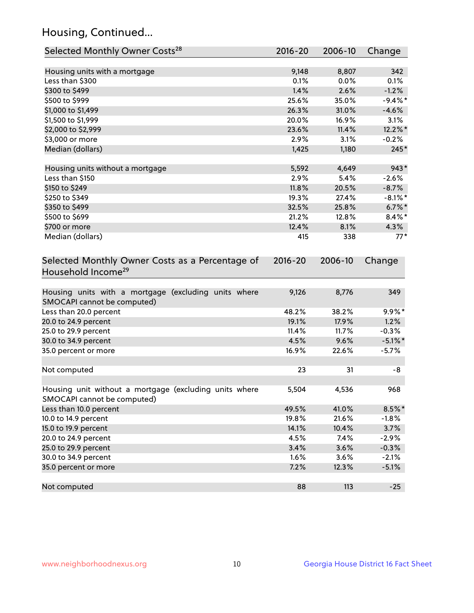## Housing, Continued...

| Selected Monthly Owner Costs <sup>28</sup>                                            | 2016-20     | 2006-10 | Change     |
|---------------------------------------------------------------------------------------|-------------|---------|------------|
| Housing units with a mortgage                                                         | 9,148       | 8,807   | 342        |
| Less than \$300                                                                       | 0.1%        | 0.0%    | 0.1%       |
| \$300 to \$499                                                                        | 1.4%        | 2.6%    | $-1.2%$    |
| \$500 to \$999                                                                        | 25.6%       | 35.0%   | $-9.4%$ *  |
| \$1,000 to \$1,499                                                                    | 26.3%       | 31.0%   | $-4.6%$    |
| \$1,500 to \$1,999                                                                    | 20.0%       | 16.9%   | 3.1%       |
| \$2,000 to \$2,999                                                                    | 23.6%       | 11.4%   | 12.2%*     |
| \$3,000 or more                                                                       | 2.9%        | 3.1%    | $-0.2%$    |
| Median (dollars)                                                                      | 1,425       | 1,180   | $245*$     |
|                                                                                       |             |         |            |
| Housing units without a mortgage                                                      | 5,592       | 4,649   | 943*       |
| Less than \$150                                                                       | 2.9%        | 5.4%    | $-2.6%$    |
| \$150 to \$249                                                                        | 11.8%       | 20.5%   | $-8.7%$    |
| \$250 to \$349                                                                        | 19.3%       | 27.4%   | $-8.1\%$ * |
| \$350 to \$499                                                                        | 32.5%       | 25.8%   | $6.7\%$ *  |
| \$500 to \$699                                                                        | 21.2%       | 12.8%   | $8.4\%$ *  |
| \$700 or more                                                                         | 12.4%       | 8.1%    | 4.3%       |
| Median (dollars)                                                                      | 415         | 338     | $77*$      |
| Selected Monthly Owner Costs as a Percentage of<br>Household Income <sup>29</sup>     | $2016 - 20$ | 2006-10 | Change     |
| Housing units with a mortgage (excluding units where<br>SMOCAPI cannot be computed)   | 9,126       | 8,776   | 349        |
| Less than 20.0 percent                                                                | 48.2%       | 38.2%   | $9.9\%*$   |
| 20.0 to 24.9 percent                                                                  | 19.1%       | 17.9%   | 1.2%       |
| 25.0 to 29.9 percent                                                                  | 11.4%       | 11.7%   | $-0.3%$    |
| 30.0 to 34.9 percent                                                                  | 4.5%        | 9.6%    | $-5.1\%$ * |
| 35.0 percent or more                                                                  | 16.9%       | 22.6%   | $-5.7%$    |
| Not computed                                                                          | 23          | 31      | -8         |
| Housing unit without a mortgage (excluding units where<br>SMOCAPI cannot be computed) | 5,504       | 4,536   | 968        |
| Less than 10.0 percent                                                                | 49.5%       | 41.0%   | $8.5\%$ *  |
| 10.0 to 14.9 percent                                                                  | 19.8%       | 21.6%   | $-1.8%$    |
| 15.0 to 19.9 percent                                                                  | 14.1%       | 10.4%   | 3.7%       |
| 20.0 to 24.9 percent                                                                  | 4.5%        | 7.4%    | $-2.9%$    |
| 25.0 to 29.9 percent                                                                  | 3.4%        | 3.6%    | $-0.3%$    |
| 30.0 to 34.9 percent                                                                  | 1.6%        | 3.6%    | $-2.1%$    |
| 35.0 percent or more                                                                  | 7.2%        | 12.3%   | $-5.1%$    |
| Not computed                                                                          | 88          | 113     | $-25$      |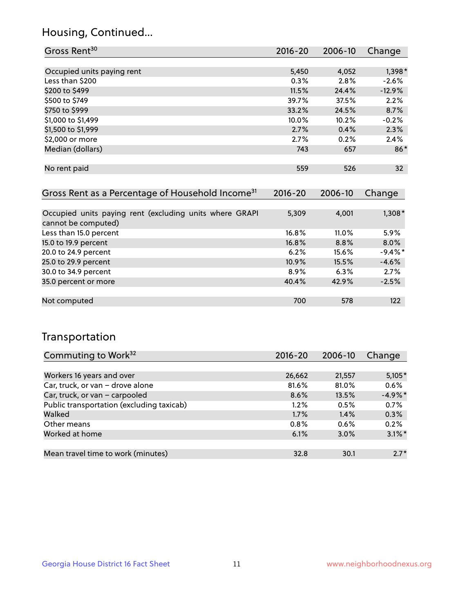## Housing, Continued...

| Gross Rent <sup>30</sup>                                     | 2016-20     | 2006-10 | Change          |
|--------------------------------------------------------------|-------------|---------|-----------------|
|                                                              |             |         |                 |
| Occupied units paying rent                                   | 5,450       | 4,052   | $1,398*$        |
| Less than \$200                                              | 0.3%        | 2.8%    | $-2.6%$         |
| \$200 to \$499                                               | 11.5%       | 24.4%   | $-12.9%$        |
| \$500 to \$749                                               | 39.7%       | 37.5%   | 2.2%            |
| \$750 to \$999                                               | 33.2%       | 24.5%   | 8.7%            |
| \$1,000 to \$1,499                                           | 10.0%       | 10.2%   | $-0.2%$         |
| \$1,500 to \$1,999                                           | 2.7%        | 0.4%    | 2.3%            |
| \$2,000 or more                                              | 2.7%        | 0.2%    | 2.4%            |
| Median (dollars)                                             | 743         | 657     | $86*$           |
|                                                              |             |         |                 |
| No rent paid                                                 | 559         | 526     | 32 <sup>2</sup> |
|                                                              |             |         |                 |
| Gross Rent as a Percentage of Household Income <sup>31</sup> | $2016 - 20$ | 2006-10 | Change          |

| Occupied units paying rent (excluding units where GRAPI<br>cannot be computed) | 5,309 | 4.001    | $1,308*$   |
|--------------------------------------------------------------------------------|-------|----------|------------|
| Less than 15.0 percent                                                         | 16.8% | $11.0\%$ | 5.9%       |
| 15.0 to 19.9 percent                                                           | 16.8% | 8.8%     | 8.0%       |
| 20.0 to 24.9 percent                                                           | 6.2%  | 15.6%    | $-9.4\%$ * |
| 25.0 to 29.9 percent                                                           | 10.9% | 15.5%    | $-4.6%$    |
| 30.0 to 34.9 percent                                                           | 8.9%  | 6.3%     | 2.7%       |
| 35.0 percent or more                                                           | 40.4% | 42.9%    | $-2.5%$    |
|                                                                                |       |          |            |
| Not computed                                                                   | 700   | 578      | 122        |

## Transportation

| Commuting to Work <sup>32</sup>           | 2016-20 | 2006-10 | Change     |
|-------------------------------------------|---------|---------|------------|
|                                           |         |         |            |
| Workers 16 years and over                 | 26,662  | 21,557  | $5,105*$   |
| Car, truck, or van - drove alone          | 81.6%   | 81.0%   | 0.6%       |
| Car, truck, or van - carpooled            | 8.6%    | 13.5%   | $-4.9\%$ * |
| Public transportation (excluding taxicab) | 1.2%    | 0.5%    | 0.7%       |
| Walked                                    | 1.7%    | 1.4%    | 0.3%       |
| Other means                               | 0.8%    | 0.6%    | 0.2%       |
| Worked at home                            | 6.1%    | 3.0%    | $3.1\%$ *  |
|                                           |         |         |            |
| Mean travel time to work (minutes)        | 32.8    | 30.1    | $2.7*$     |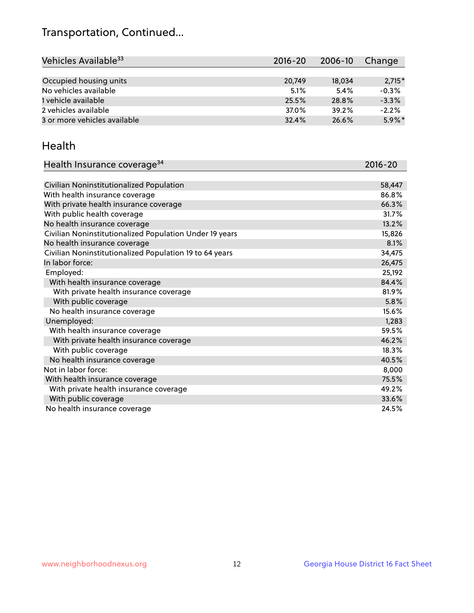## Transportation, Continued...

| Vehicles Available <sup>33</sup> | $2016 - 20$ | $2006 - 10$ | Change    |
|----------------------------------|-------------|-------------|-----------|
|                                  |             |             |           |
| Occupied housing units           | 20,749      | 18,034      | $2,715*$  |
| No vehicles available            | 5.1%        | 5.4%        | $-0.3%$   |
| 1 vehicle available              | 25.5%       | 28.8%       | $-3.3%$   |
| 2 vehicles available             | 37.0%       | 39.2%       | $-2.2%$   |
| 3 or more vehicles available     | 32.4%       | 26.6%       | $5.9\%$ * |

#### Health

| Health Insurance coverage <sup>34</sup>                 | 2016-20 |
|---------------------------------------------------------|---------|
|                                                         |         |
| Civilian Noninstitutionalized Population                | 58,447  |
| With health insurance coverage                          | 86.8%   |
| With private health insurance coverage                  | 66.3%   |
| With public health coverage                             | 31.7%   |
| No health insurance coverage                            | 13.2%   |
| Civilian Noninstitutionalized Population Under 19 years | 15,826  |
| No health insurance coverage                            | 8.1%    |
| Civilian Noninstitutionalized Population 19 to 64 years | 34,475  |
| In labor force:                                         | 26,475  |
| Employed:                                               | 25,192  |
| With health insurance coverage                          | 84.4%   |
| With private health insurance coverage                  | 81.9%   |
| With public coverage                                    | 5.8%    |
| No health insurance coverage                            | 15.6%   |
| Unemployed:                                             | 1,283   |
| With health insurance coverage                          | 59.5%   |
| With private health insurance coverage                  | 46.2%   |
| With public coverage                                    | 18.3%   |
| No health insurance coverage                            | 40.5%   |
| Not in labor force:                                     | 8,000   |
| With health insurance coverage                          | 75.5%   |
| With private health insurance coverage                  | 49.2%   |
| With public coverage                                    | 33.6%   |
| No health insurance coverage                            | 24.5%   |